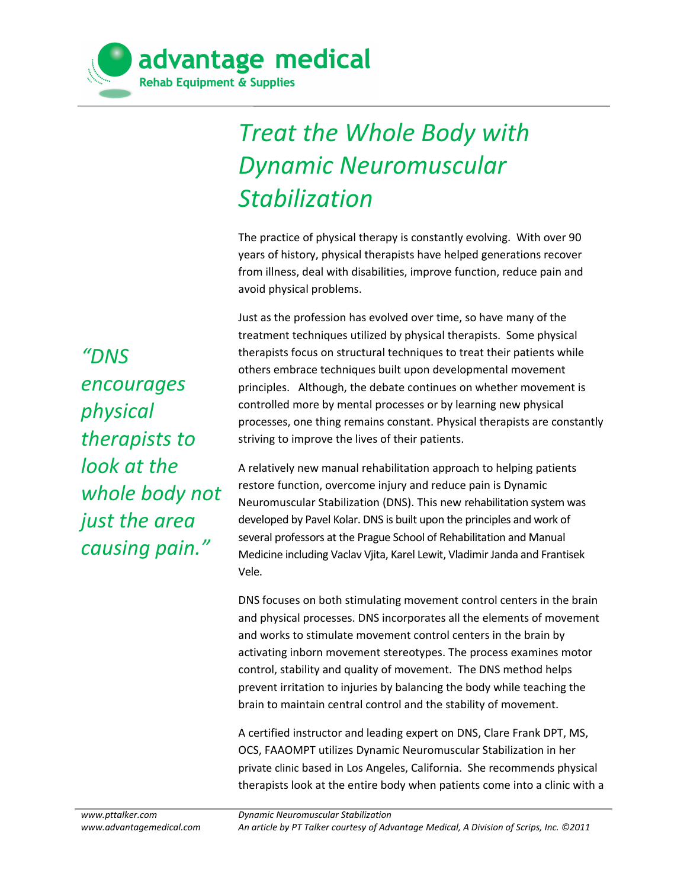

## *Treat the Whole Body with Dynamic Neuromuscular Stabilization*

The practice of physical therapy is constantly evolving. With over 90 years of history, physical therapists have helped generations recover from illness, deal with disabilities, improve function, reduce pain and avoid physical problems.

Just as the profession has evolved over time, so have many of the treatment techniques utilized by physical therapists. Some physical therapists focus on structural techniques to treat their patients while others embrace techniques built upon developmental movement principles. Although, the debate continues on whether movement is controlled more by mental processes or by learning new physical processes, one thing remains constant. Physical therapists are constantly striving to improve the lives of their patients.

A relatively new manual rehabilitation approach to helping patients restore function, overcome injury and reduce pain is Dynamic Neuromuscular Stabilization (DNS). This new rehabilitation system was developed by Pavel Kolar. DNS is built upon the principles and work of several professors at the Prague School of Rehabilitation and Manual Medicine including Vaclav Vjita, Karel Lewit, Vladimir Janda and Frantisek Vele.

DNS focuses on both stimulating movement control centers in the brain and physical processes. DNS incorporates all the elements of movement and works to stimulate movement control centers in the brain by activating inborn movement stereotypes. The process examines motor control, stability and quality of movement. The DNS method helps prevent irritation to injuries by balancing the body while teaching the brain to maintain central control and the stability of movement.

A certified instructor and leading expert on DNS, Clare Frank DPT, MS, OCS, FAAOMPT utilizes Dynamic Neuromuscular Stabilization in her [private clinic](http://www.movementlinks.com/about) based in Los Angeles, California. She recommends physical therapists look at the entire body when patients come into a clinic with a

*"DNS encourages physical therapists to look at the whole body not just the area causing pain."*

*Dynamic Neuromuscular Stabilization An article by PT Talker courtesy of Advantage Medical, A Division of Scrips, Inc. ©2011*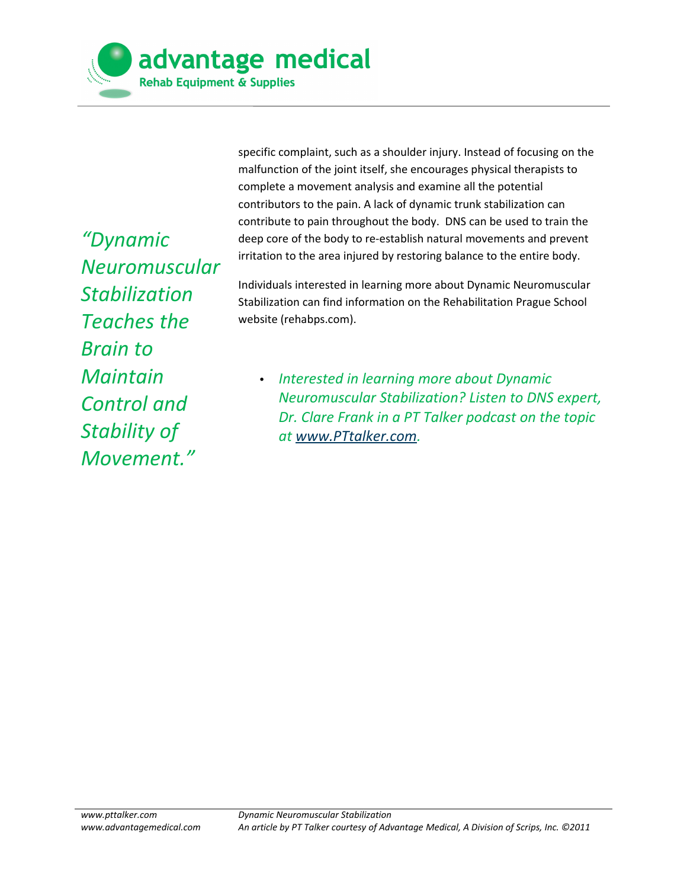

*"Dynamic Neuromuscular Stabilization Teaches the Brain to Maintain Control and Stability of Movement."*

specific complaint, such as a shoulder injury. Instead of focusing on the malfunction of the joint itself, she encourages physical therapists to complete a movement analysis and examine all the potential contributors to the pain. A lack of dynamic trunk stabilization can contribute to pain throughout the body. DNS can be used to train the deep core of the body to re-establish natural movements and prevent irritation to the area injured by restoring balance to the entire body.

Individuals interested in learning more about Dynamic Neuromuscular Stabilization can find information on the Rehabilitation Prague School website (rehabps.com).

• *Interested in learning more about Dynamic Neuromuscular Stabilization? Listen to DNS expert, Dr. Clare Frank in a PT Talker podcast on the topic at [www.PTtalker.com.](http://www.PTtalker.com/)*